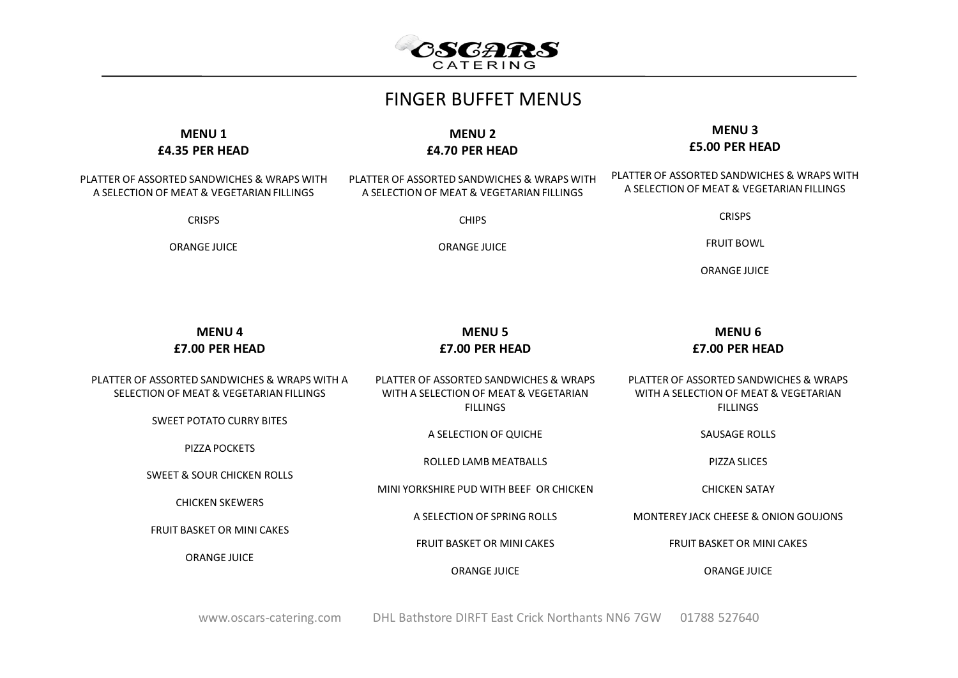

| <b>FINGER BUFFET MENUS</b>                                                                                                       |                                                                                                    |  |  |  |
|----------------------------------------------------------------------------------------------------------------------------------|----------------------------------------------------------------------------------------------------|--|--|--|
| <b>MENU2</b><br>£4.70 PER HEAD                                                                                                   | <b>MENU3</b><br>£5.00 PER HEAD                                                                     |  |  |  |
| PLATTER OF ASSORTED SANDWICHES & WRAPS WITH<br>A SELECTION OF MEAT & VEGETARIAN FILLINGS                                         | PLATTER OF ASSORTED SANDWICHES & WRAPS WITH<br>A SELECTION OF MEAT & VEGETARIAN FILLINGS           |  |  |  |
| <b>CHIPS</b>                                                                                                                     | <b>CRISPS</b>                                                                                      |  |  |  |
| <b>ORANGE JUICE</b>                                                                                                              | <b>FRUIT BOWL</b>                                                                                  |  |  |  |
|                                                                                                                                  | <b>ORANGE JUICE</b>                                                                                |  |  |  |
| <b>MENU 5</b><br>£7.00 PER HEAD                                                                                                  | <b>MENU 6</b><br>£7.00 PER HEAD                                                                    |  |  |  |
| PLATTER OF ASSORTED SANDWICHES & WRAPS WITH A<br>PLATTER OF ASSORTED SANDWICHES & WRAPS<br>WITH A SELECTION OF MEAT & VEGETARIAN | PLATTER OF ASSORTED SANDWICHES & WRAPS<br>WITH A SELECTION OF MEAT & VEGETARIAN<br><b>FILLINGS</b> |  |  |  |
| A SELECTION OF QUICHE                                                                                                            | <b>SAUSAGE ROLLS</b>                                                                               |  |  |  |
| <b>ROLLED LAMB MEATBALLS</b>                                                                                                     | PIZZA SLICES                                                                                       |  |  |  |
| MINI YORKSHIRE PUD WITH BEEF OR CHICKEN                                                                                          | <b>CHICKEN SATAY</b>                                                                               |  |  |  |
| A SELECTION OF SPRING ROLLS                                                                                                      | MONTEREY JACK CHEESE & ONION GOUJONS                                                               |  |  |  |
| <b>FRUIT BASKET OR MINI CAKES</b>                                                                                                | <b>FRUIT BASKET OR MINI CAKES</b>                                                                  |  |  |  |
| <b>ORANGE JUICE</b>                                                                                                              | <b>ORANGE JUICE</b>                                                                                |  |  |  |
|                                                                                                                                  | <b>FILLINGS</b>                                                                                    |  |  |  |

www.oscars-catering.com DHL Bathstore DIRFT East Crick Northants NN6 7GW 01788 527640